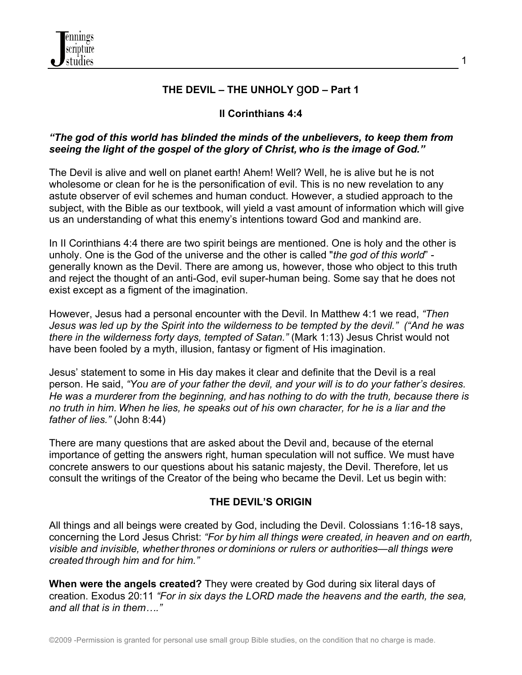

## **THE DEVIL – THE UNHOLY** g**OD – Part 1**

## **II Corinthians 4:4**

#### *"The god of this world has blinded the minds of the unbelievers, to keep them from seeing the light of the gospel of the glory of Christ, who is the image of God."*

The Devil is alive and well on planet earth! Ahem! Well? Well, he is alive but he is not wholesome or clean for he is the personification of evil. This is no new revelation to any astute observer of evil schemes and human conduct. However, a studied approach to the subject, with the Bible as our textbook, will yield a vast amount of information which will give us an understanding of what this enemy's intentions toward God and mankind are.

In II Corinthians 4:4 there are two spirit beings are mentioned. One is holy and the other is unholy. One is the God of the universe and the other is called "*the god of this world*" generally known as the Devil. There are among us, however, those who object to this truth and reject the thought of an anti-God, evil super-human being. Some say that he does not exist except as a figment of the imagination.

However, Jesus had a personal encounter with the Devil. In Matthew 4:1 we read, *"Then Jesus was led up by the Spirit into the wilderness to be tempted by the devil." ("And he was there in the wilderness forty days, tempted of Satan."* (Mark 1:13) Jesus Christ would not have been fooled by a myth, illusion, fantasy or figment of His imagination.

Jesus' statement to some in His day makes it clear and definite that the Devil is a real person. He said, *"You are of your father the devil, and your will is to do your father's desires. He was a murderer from the beginning, and has nothing to do with the truth, because there is no truth in him. When he lies, he speaks out of his own character, for he is a liar and the father of lies."* (John 8:44)

There are many questions that are asked about the Devil and, because of the eternal importance of getting the answers right, human speculation will not suffice. We must have concrete answers to our questions about his satanic majesty, the Devil. Therefore, let us consult the writings of the Creator of the being who became the Devil. Let us begin with:

#### **THE DEVIL'S ORIGIN**

All things and all beings were created by God, including the Devil. Colossians 1:16-18 says, concerning the Lord Jesus Christ: *"For by him all things were created, in heaven and on earth, visible and invisible, whether thrones or dominions or rulers or authorities—all things were created through him and for him."*

**When were the angels created?** They were created by God during six literal days of creation. Exodus 20:11 *"For in six days the LORD made the heavens and the earth, the sea, and all that is in them…."*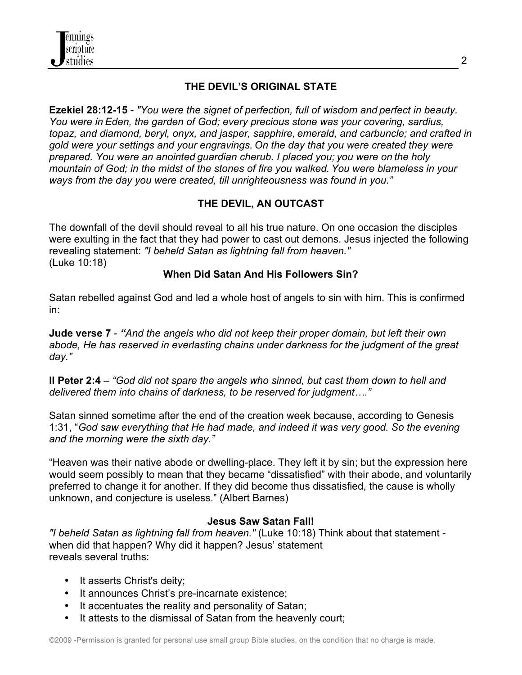

## **THE DEVIL'S ORIGINAL STATE**

**Ezekiel 28:12-15** - *"You were the signet of perfection, full of wisdom and perfect in beauty. You were in Eden, the garden of God; every precious stone was your covering, sardius, topaz, and diamond, beryl, onyx, and jasper, sapphire, emerald, and carbuncle; and crafted in gold were your settings and your engravings. On the day that you were created they were prepared. You were an anointed guardian cherub. I placed you; you were on the holy mountain of God; in the midst of the stones of fire you walked. You were blameless in your ways from the day you were created, till unrighteousness was found in you."*

# **THE DEVIL, AN OUTCAST**

The downfall of the devil should reveal to all his true nature. On one occasion the disciples were exulting in the fact that they had power to cast out demons. Jesus injected the following revealing statement: *"I beheld Satan as lightning fall from heaven."* (Luke 10:18)

#### **When Did Satan And His Followers Sin?**

Satan rebelled against God and led a whole host of angels to sin with him. This is confirmed in:

**Jude verse 7** - *"And the angels who did not keep their proper domain, but left their own abode, He has reserved in everlasting chains under darkness for the judgment of the great day."*

**II Peter 2:4** – *"God did not spare the angels who sinned, but cast them down to hell and delivered them into chains of darkness, to be reserved for judgment…."*

Satan sinned sometime after the end of the creation week because, according to Genesis 1:31, "*God saw everything that He had made, and indeed it was very good. So the evening and the morning were the sixth day."*

"Heaven was their native abode or dwelling-place. They left it by sin; but the expression here would seem possibly to mean that they became "dissatisfied" with their abode, and voluntarily preferred to change it for another. If they did become thus dissatisfied, the cause is wholly unknown, and conjecture is useless." (Albert Barnes)

#### **Jesus Saw Satan Fall!**

*"I beheld Satan as lightning fall from heaven."* (Luke 10:18) Think about that statement when did that happen? Why did it happen? Jesus' statement reveals several truths:

- It asserts Christ's deity;
- It announces Christ's pre-incarnate existence;
- It accentuates the reality and personality of Satan;
- It attests to the dismissal of Satan from the heavenly court;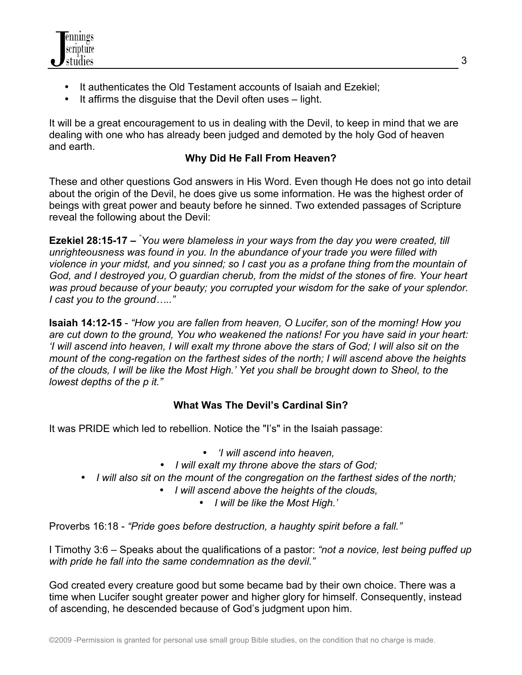

- It authenticates the Old Testament accounts of Isaiah and Ezekiel;
- It affirms the disguise that the Devil often uses light.

It will be a great encouragement to us in dealing with the Devil, to keep in mind that we are dealing with one who has already been judged and demoted by the holy God of heaven and earth.

# **Why Did He Fall From Heaven?**

These and other questions God answers in His Word. Even though He does not go into detail about the origin of the Devil, he does give us some information. He was the highest order of beings with great power and beauty before he sinned. Two extended passages of Scripture reveal the following about the Devil:

**Ezekiel 28:15-17 –** *" You were blameless in your ways from the day you were created, till unrighteousness was found in you. In the abundance of your trade you were filled with violence in your midst, and you sinned; so I cast you as a profane thing from the mountain of God, and I destroyed you, O guardian cherub, from the midst of the stones of fire. Your heart was proud because of your beauty; you corrupted your wisdom for the sake of your splendor. I cast you to the ground….."*

**Isaiah 14:12-15** - *"How you are fallen from heaven, O Lucifer, son of the morning! How you are cut down to the ground, You who weakened the nations! For you have said in your heart: 'I will ascend into heaven, I will exalt my throne above the stars of God; I will also sit on the mount of the cong-regation on the farthest sides of the north; I will ascend above the heights of the clouds, I will be like the Most High.' Yet you shall be brought down to Sheol, to the lowest depths of the p it."*

# **What Was The Devil's Cardinal Sin?**

It was PRIDE which led to rebellion. Notice the "I's" in the Isaiah passage:

- *'I will ascend into heaven,*
- *I will exalt my throne above the stars of God;*
- *I will also sit on the mount of the congregation on the farthest sides of the north;*
	- *I will ascend above the heights of the clouds,*
		- *I will be like the Most High.'*

Proverbs 16:18 - *"Pride goes before destruction, a haughty spirit before a fall."*

I Timothy 3:6 – Speaks about the qualifications of a pastor: *"not a novice, lest being puffed up with pride he fall into the same condemnation as the devil."*

God created every creature good but some became bad by their own choice. There was a time when Lucifer sought greater power and higher glory for himself. Consequently, instead of ascending, he descended because of God's judgment upon him.